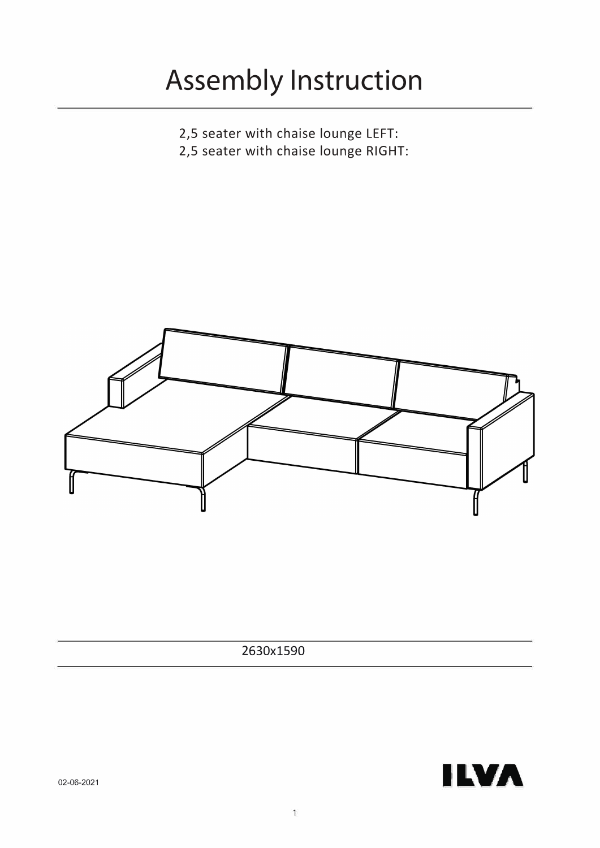# **Assembly Instruction**

- 2,5 seater with chaise lounge LEFT:
- 2,5 seater with chaise lounge RIGHT:



2630x1590

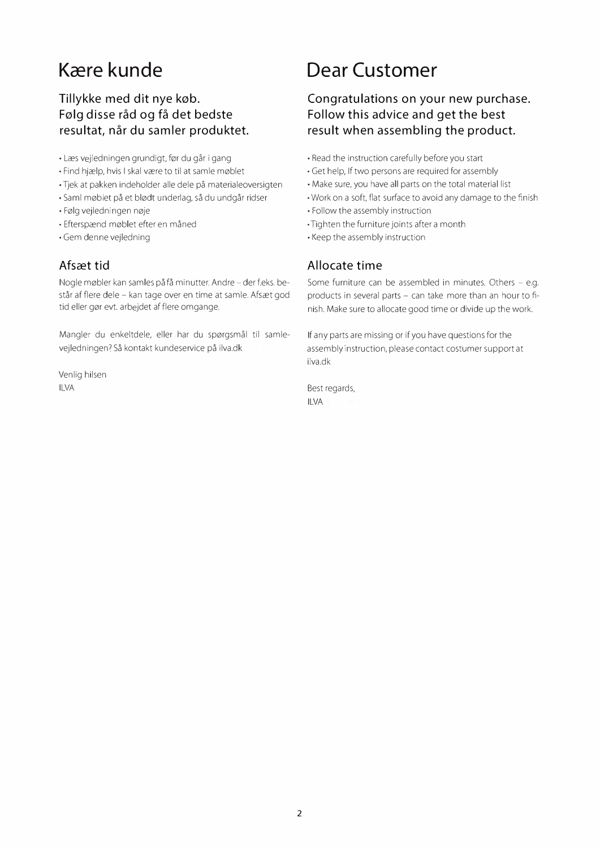### **K�re kunde**

#### **Tillykke med dit nye køb. F0lg disse rad og fa det bedste resultat, nar du samler produktet.**

- Læs vejledningen grundigt, før du går i gang
- Find hjælp, hvis I skal være to til at samle møblet
- Tjek at pakken indeholder alle dele pa materialeoversigten
- Saml møblet på et blødt underlag, så du undgår ridser
- Følg vejledningen nøje
- Efterspænd møblet efter en måned
- Gem denne vejledning

#### **Afscet tid**

Nogle møbler kan samles på få minutter. Andre – der f.eks. består af flere dele - kan tage over en time at samle. Afsæt god tid eller gør evt. arbejdet af flere omgange.

Mangler du enkeltdele, eller har du spørgsmål til samlevejledningen? Så kontakt kundeservice på ilva.dk

Venlig hilsen ILVA

### **Dear Customer**

#### **Congratulations on your new purchase. Follow this advice and get the best result when assembling the product.**

- Read the instruction carefully before you start
- Get help, If two persons are required for assembly
- Make sure, you have all parts on the total material list
- Work on a soft, flat surface to avoid any damage to the finish
- Follow the assembly instruction
- Tighten the furniture joints after a month
- Keep the assembly instruction

#### **Allocate time**

Some furniture can be assembled in minutes. Others - e.g. products in several parts - can take more than an hour to finish. Make sure to allocate good time or divide up the work.

If any parts are missing or if you have questions for the assembly instruction, please contact costumer support at ilva.dk

Best regards, ILVA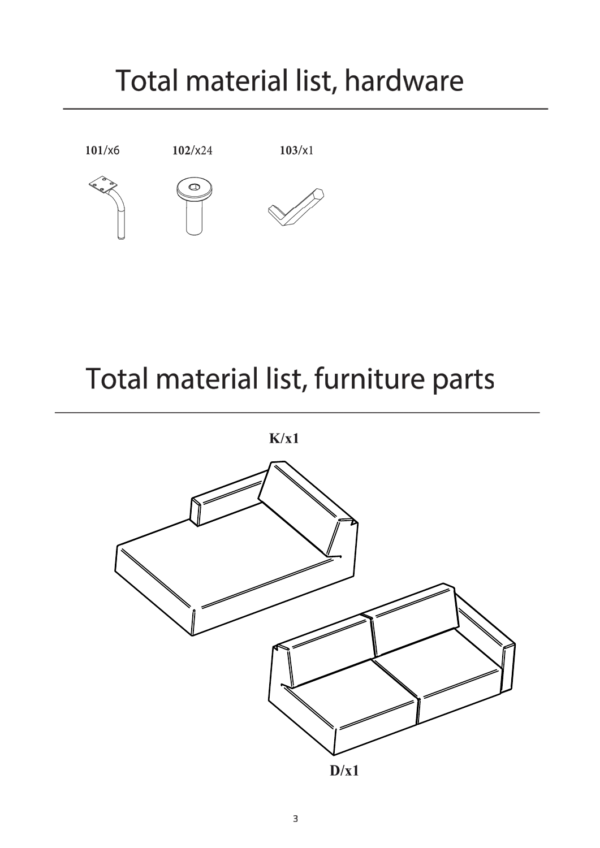## Total material list, hardware



## Total material list, furniture parts